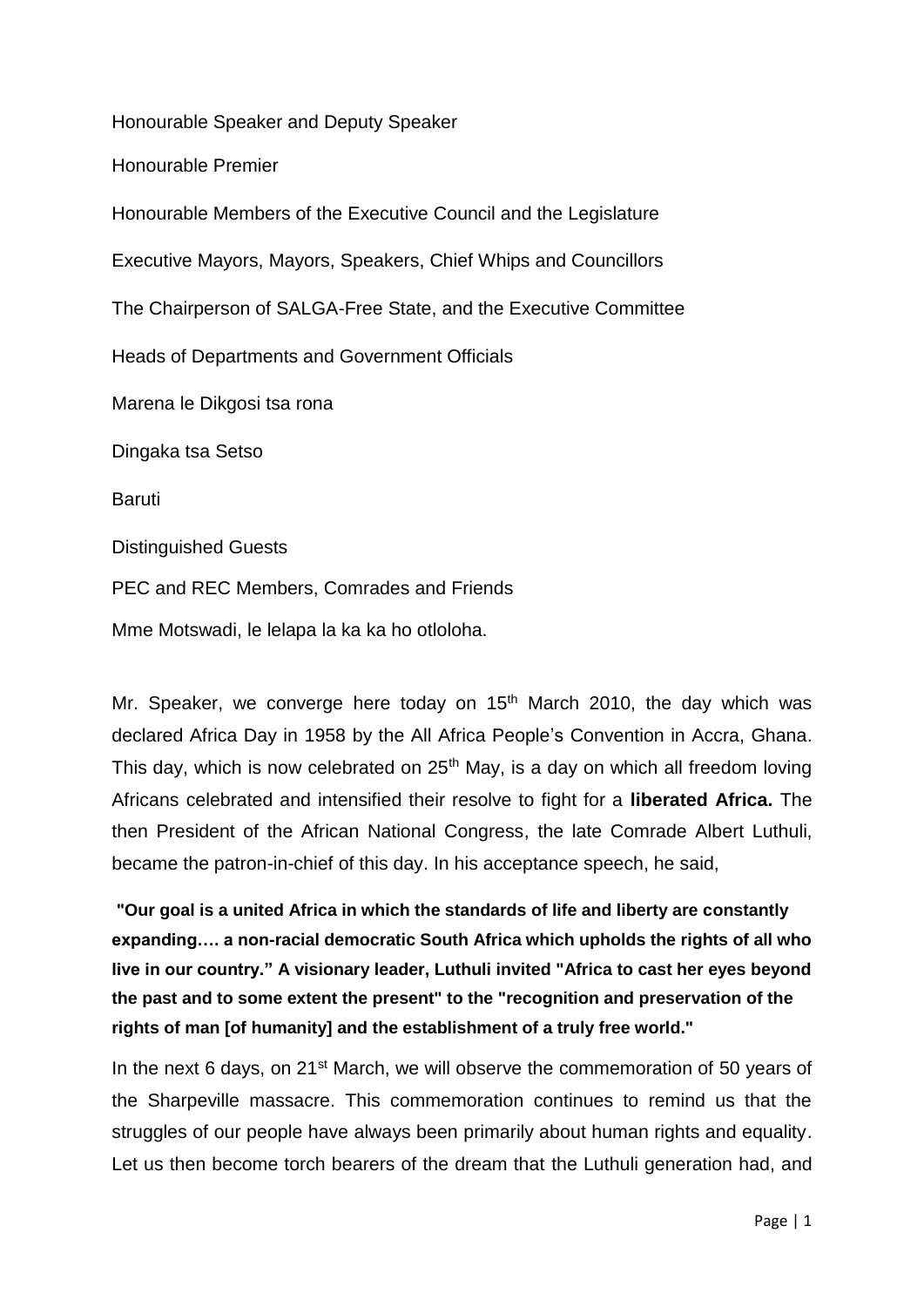Honourable Speaker and Deputy Speaker

Honourable Premier

Honourable Members of the Executive Council and the Legislature

Executive Mayors, Mayors, Speakers, Chief Whips and Councillors

The Chairperson of SALGA-Free State, and the Executive Committee

Heads of Departments and Government Officials

Marena le Dikgosi tsa rona

Dingaka tsa Setso

**Baruti** 

Distinguished Guests

PEC and REC Members, Comrades and Friends

Mme Motswadi, le lelapa la ka ka ho otloloha.

Mr. Speaker, we converge here today on  $15<sup>th</sup>$  March 2010, the day which was declared Africa Day in 1958 by the All Africa People's Convention in Accra, Ghana. This day, which is now celebrated on  $25<sup>th</sup>$  May, is a day on which all freedom loving Africans celebrated and intensified their resolve to fight for a **liberated Africa.** The then President of the African National Congress, the late Comrade Albert Luthuli, became the patron-in-chief of this day. In his acceptance speech, he said,

**"Our goal is a united Africa in which the standards of life and liberty are constantly expanding…. a non-racial democratic South Africa which upholds the rights of all who live in our country." A visionary leader, Luthuli invited "Africa to cast her eyes beyond the past and to some extent the present" to the "recognition and preservation of the rights of man [of humanity] and the establishment of a truly free world."**

In the next 6 days, on 21<sup>st</sup> March, we will observe the commemoration of 50 years of the Sharpeville massacre. This commemoration continues to remind us that the struggles of our people have always been primarily about human rights and equality. Let us then become torch bearers of the dream that the Luthuli generation had, and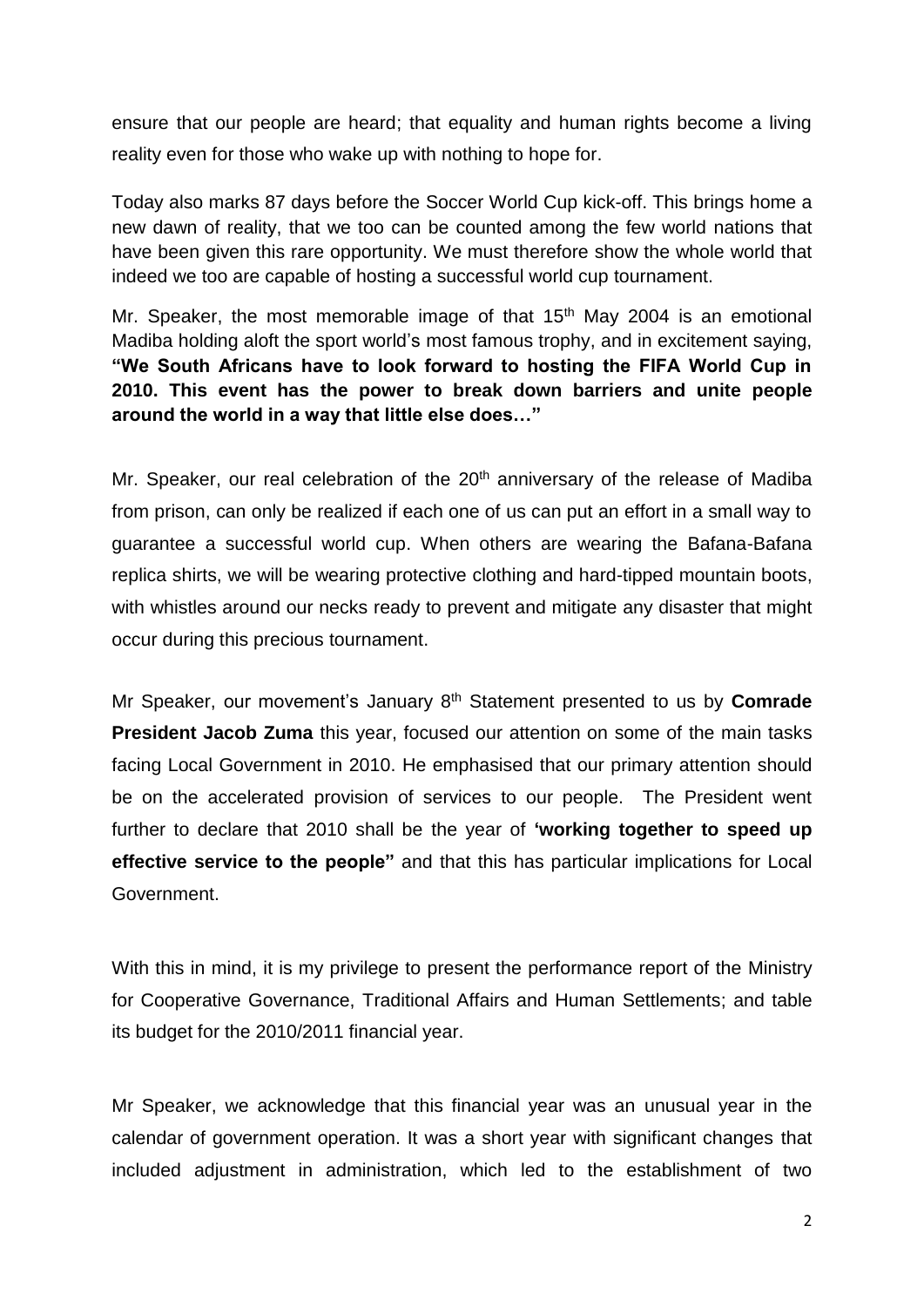ensure that our people are heard; that equality and human rights become a living reality even for those who wake up with nothing to hope for.

Today also marks 87 days before the Soccer World Cup kick-off. This brings home a new dawn of reality, that we too can be counted among the few world nations that have been given this rare opportunity. We must therefore show the whole world that indeed we too are capable of hosting a successful world cup tournament.

Mr. Speaker, the most memorable image of that  $15<sup>th</sup>$  May 2004 is an emotional Madiba holding aloft the sport world's most famous trophy, and in excitement saying, **"We South Africans have to look forward to hosting the FIFA World Cup in 2010. This event has the power to break down barriers and unite people around the world in a way that little else does…"**

Mr. Speaker, our real celebration of the 20<sup>th</sup> anniversary of the release of Madiba from prison, can only be realized if each one of us can put an effort in a small way to guarantee a successful world cup. When others are wearing the Bafana-Bafana replica shirts, we will be wearing protective clothing and hard-tipped mountain boots, with whistles around our necks ready to prevent and mitigate any disaster that might occur during this precious tournament.

Mr Speaker, our movement's January 8th Statement presented to us by **Comrade President Jacob Zuma** this year, focused our attention on some of the main tasks facing Local Government in 2010. He emphasised that our primary attention should be on the accelerated provision of services to our people. The President went further to declare that 2010 shall be the year of **'working together to speed up effective service to the people"** and that this has particular implications for Local Government.

With this in mind, it is my privilege to present the performance report of the Ministry for Cooperative Governance, Traditional Affairs and Human Settlements; and table its budget for the 2010/2011 financial year.

Mr Speaker, we acknowledge that this financial year was an unusual year in the calendar of government operation. It was a short year with significant changes that included adjustment in administration, which led to the establishment of two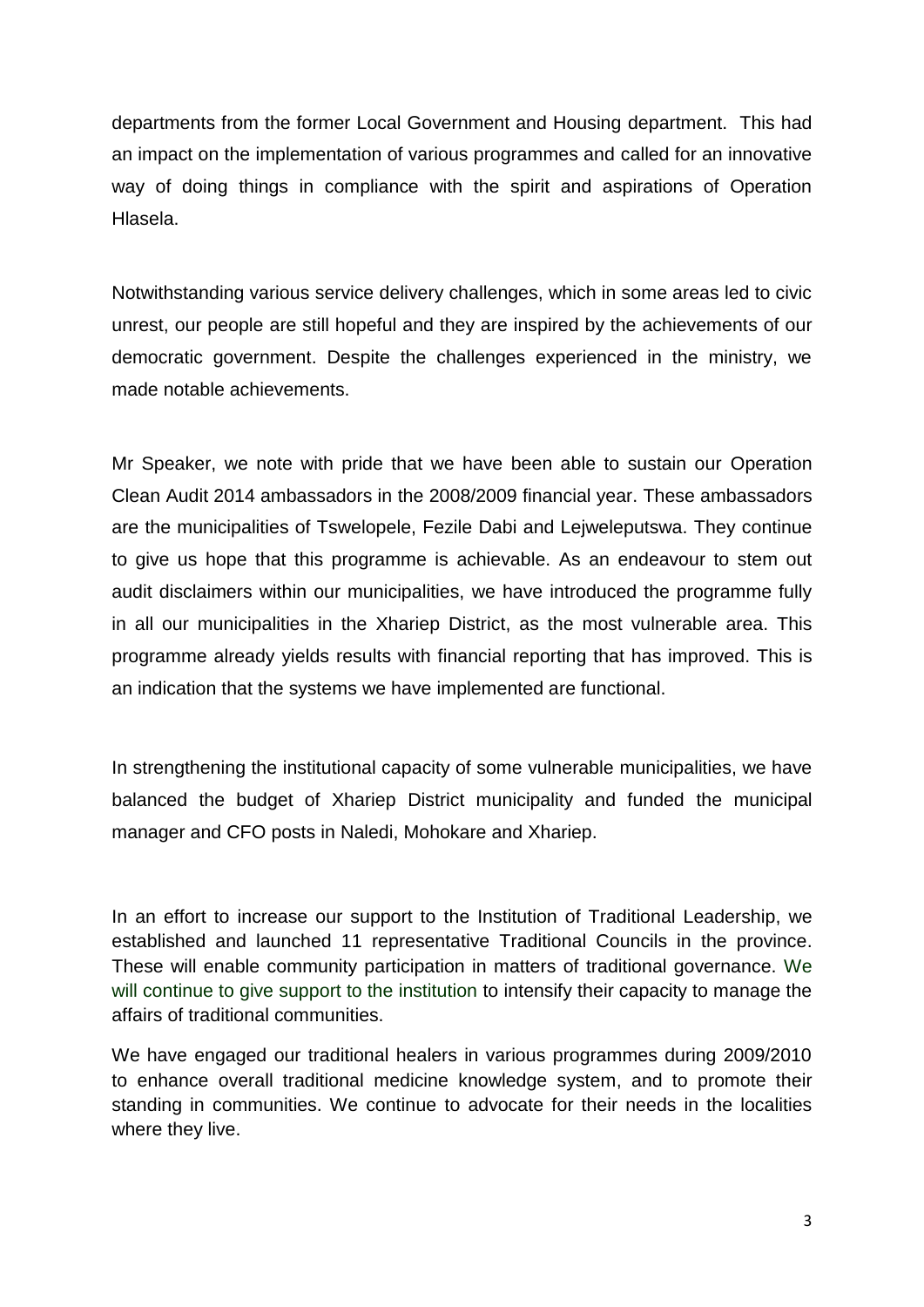departments from the former Local Government and Housing department. This had an impact on the implementation of various programmes and called for an innovative way of doing things in compliance with the spirit and aspirations of Operation Hlasela.

Notwithstanding various service delivery challenges, which in some areas led to civic unrest, our people are still hopeful and they are inspired by the achievements of our democratic government. Despite the challenges experienced in the ministry, we made notable achievements.

Mr Speaker, we note with pride that we have been able to sustain our Operation Clean Audit 2014 ambassadors in the 2008/2009 financial year. These ambassadors are the municipalities of Tswelopele, Fezile Dabi and Lejweleputswa. They continue to give us hope that this programme is achievable. As an endeavour to stem out audit disclaimers within our municipalities, we have introduced the programme fully in all our municipalities in the Xhariep District, as the most vulnerable area. This programme already yields results with financial reporting that has improved. This is an indication that the systems we have implemented are functional.

In strengthening the institutional capacity of some vulnerable municipalities, we have balanced the budget of Xhariep District municipality and funded the municipal manager and CFO posts in Naledi, Mohokare and Xhariep.

In an effort to increase our support to the Institution of Traditional Leadership, we established and launched 11 representative Traditional Councils in the province. These will enable community participation in matters of traditional governance. We will continue to give support to the institution to intensify their capacity to manage the affairs of traditional communities.

We have engaged our traditional healers in various programmes during 2009/2010 to enhance overall traditional medicine knowledge system, and to promote their standing in communities. We continue to advocate for their needs in the localities where they live.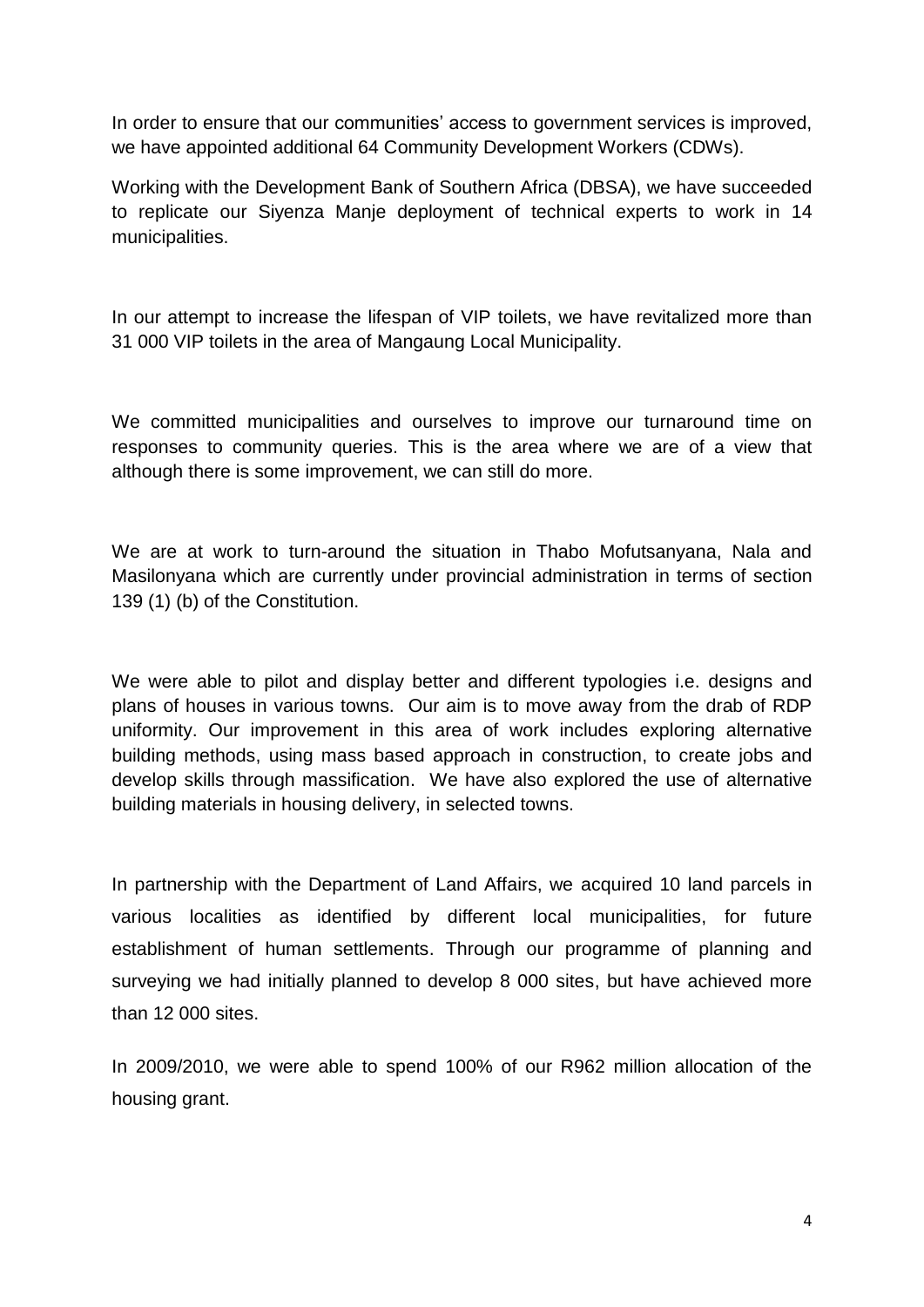In order to ensure that our communities' access to government services is improved, we have appointed additional 64 Community Development Workers (CDWs).

Working with the Development Bank of Southern Africa (DBSA), we have succeeded to replicate our Siyenza Manje deployment of technical experts to work in 14 municipalities.

In our attempt to increase the lifespan of VIP toilets, we have revitalized more than 31 000 VIP toilets in the area of Mangaung Local Municipality.

We committed municipalities and ourselves to improve our turnaround time on responses to community queries. This is the area where we are of a view that although there is some improvement, we can still do more.

We are at work to turn-around the situation in Thabo Mofutsanyana, Nala and Masilonyana which are currently under provincial administration in terms of section 139 (1) (b) of the Constitution.

We were able to pilot and display better and different typologies i.e. designs and plans of houses in various towns. Our aim is to move away from the drab of RDP uniformity. Our improvement in this area of work includes exploring alternative building methods, using mass based approach in construction, to create jobs and develop skills through massification. We have also explored the use of alternative building materials in housing delivery, in selected towns.

In partnership with the Department of Land Affairs, we acquired 10 land parcels in various localities as identified by different local municipalities, for future establishment of human settlements. Through our programme of planning and surveying we had initially planned to develop 8 000 sites, but have achieved more than 12 000 sites.

In 2009/2010, we were able to spend 100% of our R962 million allocation of the housing grant.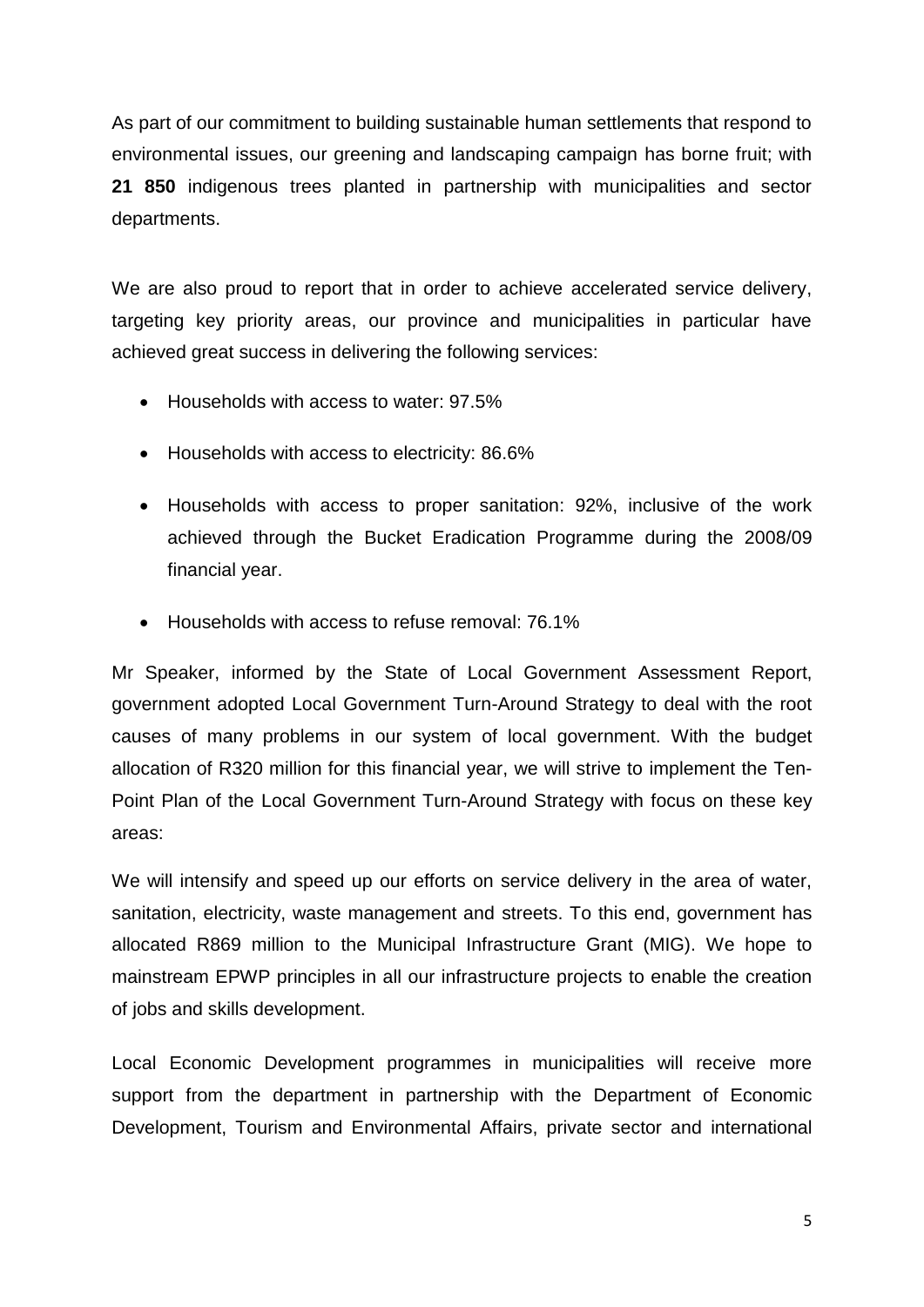As part of our commitment to building sustainable human settlements that respond to environmental issues, our greening and landscaping campaign has borne fruit; with **21 850** indigenous trees planted in partnership with municipalities and sector departments.

We are also proud to report that in order to achieve accelerated service delivery, targeting key priority areas, our province and municipalities in particular have achieved great success in delivering the following services:

- Households with access to water: 97.5%
- Households with access to electricity: 86.6%
- Households with access to proper sanitation: 92%, inclusive of the work achieved through the Bucket Eradication Programme during the 2008/09 financial year.
- Households with access to refuse removal: 76.1%

Mr Speaker, informed by the State of Local Government Assessment Report, government adopted Local Government Turn-Around Strategy to deal with the root causes of many problems in our system of local government. With the budget allocation of R320 million for this financial year, we will strive to implement the Ten-Point Plan of the Local Government Turn-Around Strategy with focus on these key areas:

We will intensify and speed up our efforts on service delivery in the area of water, sanitation, electricity, waste management and streets. To this end, government has allocated R869 million to the Municipal Infrastructure Grant (MIG). We hope to mainstream EPWP principles in all our infrastructure projects to enable the creation of jobs and skills development.

Local Economic Development programmes in municipalities will receive more support from the department in partnership with the Department of Economic Development, Tourism and Environmental Affairs, private sector and international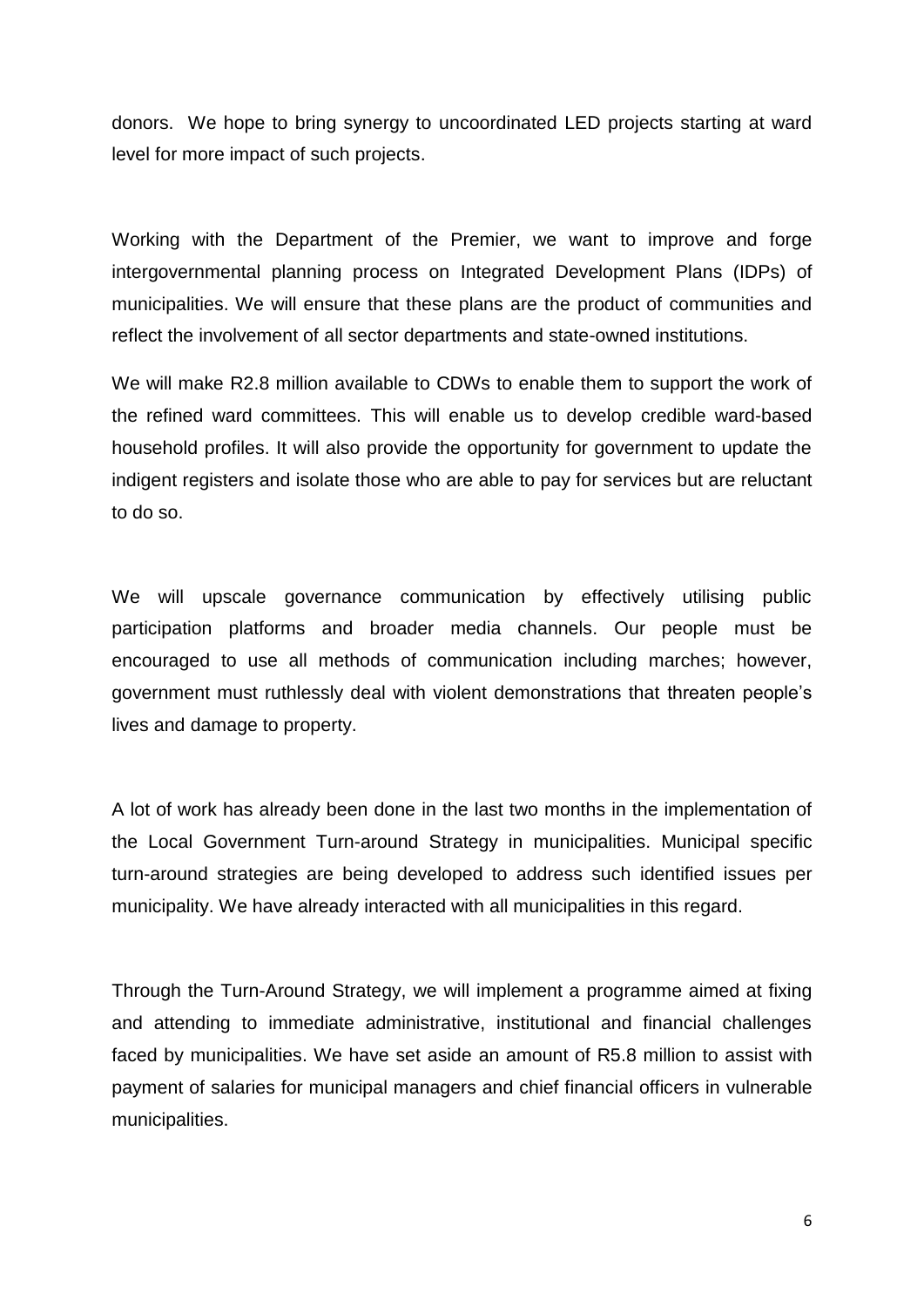donors. We hope to bring synergy to uncoordinated LED projects starting at ward level for more impact of such projects.

Working with the Department of the Premier, we want to improve and forge intergovernmental planning process on Integrated Development Plans (IDPs) of municipalities. We will ensure that these plans are the product of communities and reflect the involvement of all sector departments and state-owned institutions.

We will make R2.8 million available to CDWs to enable them to support the work of the refined ward committees. This will enable us to develop credible ward-based household profiles. It will also provide the opportunity for government to update the indigent registers and isolate those who are able to pay for services but are reluctant to do so.

We will upscale governance communication by effectively utilising public participation platforms and broader media channels. Our people must be encouraged to use all methods of communication including marches; however, government must ruthlessly deal with violent demonstrations that threaten people's lives and damage to property.

A lot of work has already been done in the last two months in the implementation of the Local Government Turn-around Strategy in municipalities. Municipal specific turn-around strategies are being developed to address such identified issues per municipality. We have already interacted with all municipalities in this regard.

Through the Turn-Around Strategy, we will implement a programme aimed at fixing and attending to immediate administrative, institutional and financial challenges faced by municipalities. We have set aside an amount of R5.8 million to assist with payment of salaries for municipal managers and chief financial officers in vulnerable municipalities.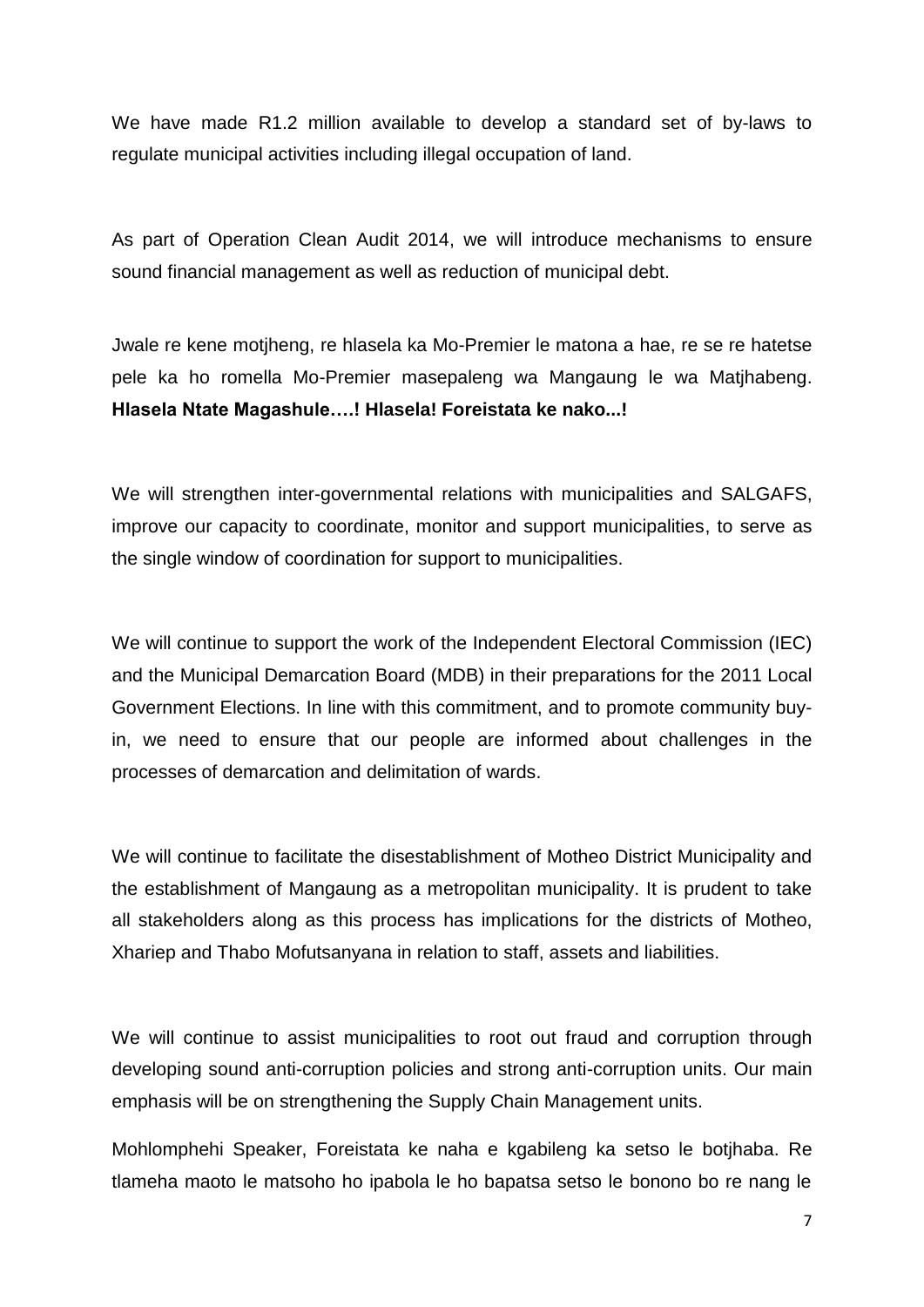We have made R1.2 million available to develop a standard set of by-laws to regulate municipal activities including illegal occupation of land.

As part of Operation Clean Audit 2014, we will introduce mechanisms to ensure sound financial management as well as reduction of municipal debt.

Jwale re kene motjheng, re hlasela ka Mo-Premier le matona a hae, re se re hatetse pele ka ho romella Mo-Premier masepaleng wa Mangaung le wa Matjhabeng. **Hlasela Ntate Magashule….! Hlasela! Foreistata ke nako...!**

We will strengthen inter-governmental relations with municipalities and SALGAFS, improve our capacity to coordinate, monitor and support municipalities, to serve as the single window of coordination for support to municipalities.

We will continue to support the work of the Independent Electoral Commission (IEC) and the Municipal Demarcation Board (MDB) in their preparations for the 2011 Local Government Elections. In line with this commitment, and to promote community buyin, we need to ensure that our people are informed about challenges in the processes of demarcation and delimitation of wards.

We will continue to facilitate the disestablishment of Motheo District Municipality and the establishment of Mangaung as a metropolitan municipality. It is prudent to take all stakeholders along as this process has implications for the districts of Motheo, Xhariep and Thabo Mofutsanyana in relation to staff, assets and liabilities.

We will continue to assist municipalities to root out fraud and corruption through developing sound anti-corruption policies and strong anti-corruption units. Our main emphasis will be on strengthening the Supply Chain Management units.

Mohlomphehi Speaker, Foreistata ke naha e kgabileng ka setso le botjhaba. Re tlameha maoto le matsoho ho ipabola le ho bapatsa setso le bonono bo re nang le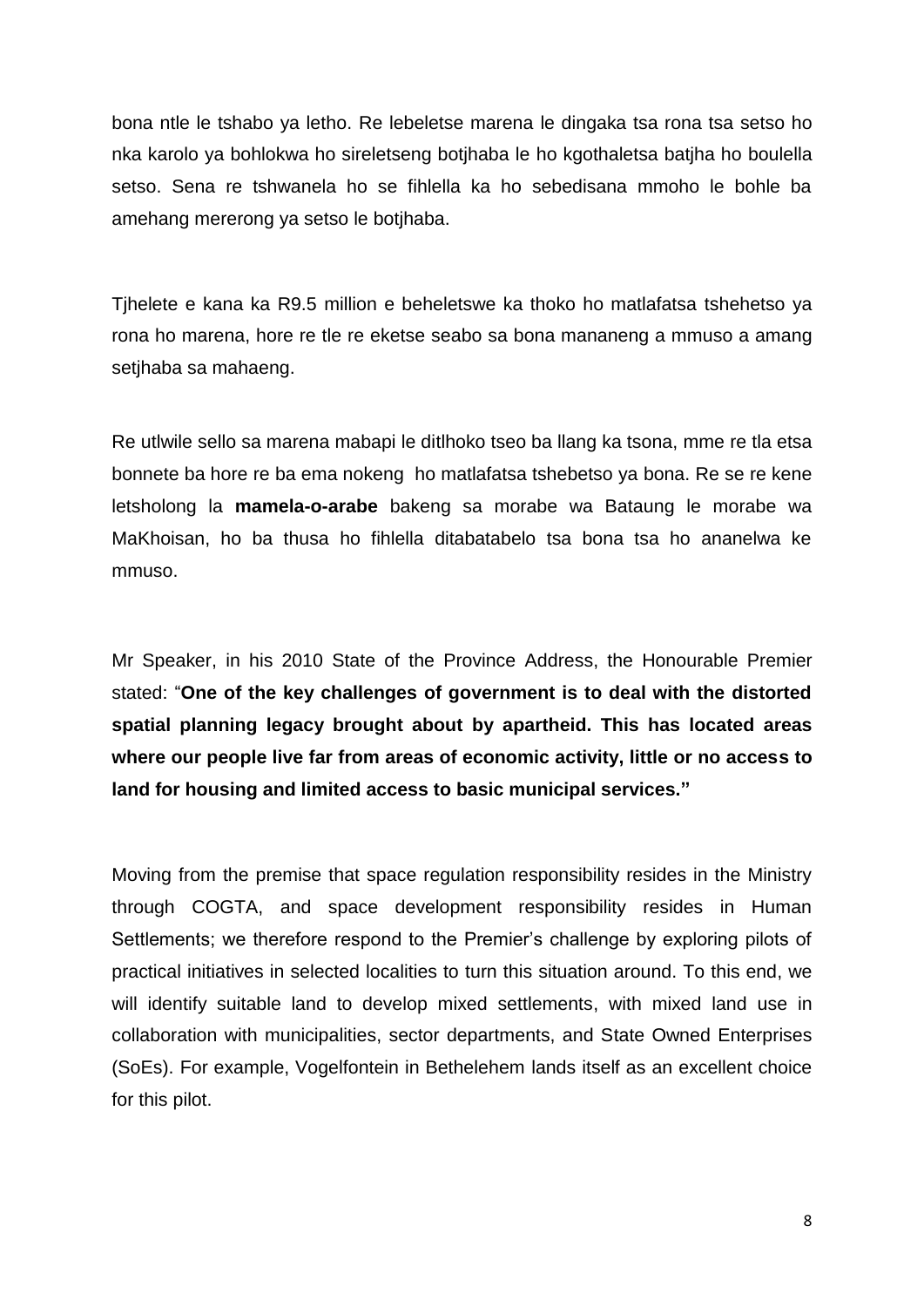bona ntle le tshabo ya letho. Re lebeletse marena le dingaka tsa rona tsa setso ho nka karolo ya bohlokwa ho sireletseng botjhaba le ho kgothaletsa batjha ho boulella setso. Sena re tshwanela ho se fihlella ka ho sebedisana mmoho le bohle ba amehang mererong ya setso le botjhaba.

Tjhelete e kana ka R9.5 million e beheletswe ka thoko ho matlafatsa tshehetso ya rona ho marena, hore re tle re eketse seabo sa bona mananeng a mmuso a amang setjhaba sa mahaeng.

Re utlwile sello sa marena mabapi le ditlhoko tseo ba llang ka tsona, mme re tla etsa bonnete ba hore re ba ema nokeng ho matlafatsa tshebetso ya bona. Re se re kene letsholong la **mamela-o-arabe** bakeng sa morabe wa Bataung le morabe wa MaKhoisan, ho ba thusa ho fihlella ditabatabelo tsa bona tsa ho ananelwa ke mmuso.

Mr Speaker, in his 2010 State of the Province Address, the Honourable Premier stated: "**One of the key challenges of government is to deal with the distorted spatial planning legacy brought about by apartheid. This has located areas where our people live far from areas of economic activity, little or no access to land for housing and limited access to basic municipal services."**

Moving from the premise that space regulation responsibility resides in the Ministry through COGTA, and space development responsibility resides in Human Settlements; we therefore respond to the Premier's challenge by exploring pilots of practical initiatives in selected localities to turn this situation around. To this end, we will identify suitable land to develop mixed settlements, with mixed land use in collaboration with municipalities, sector departments, and State Owned Enterprises (SoEs). For example, Vogelfontein in Bethelehem lands itself as an excellent choice for this pilot.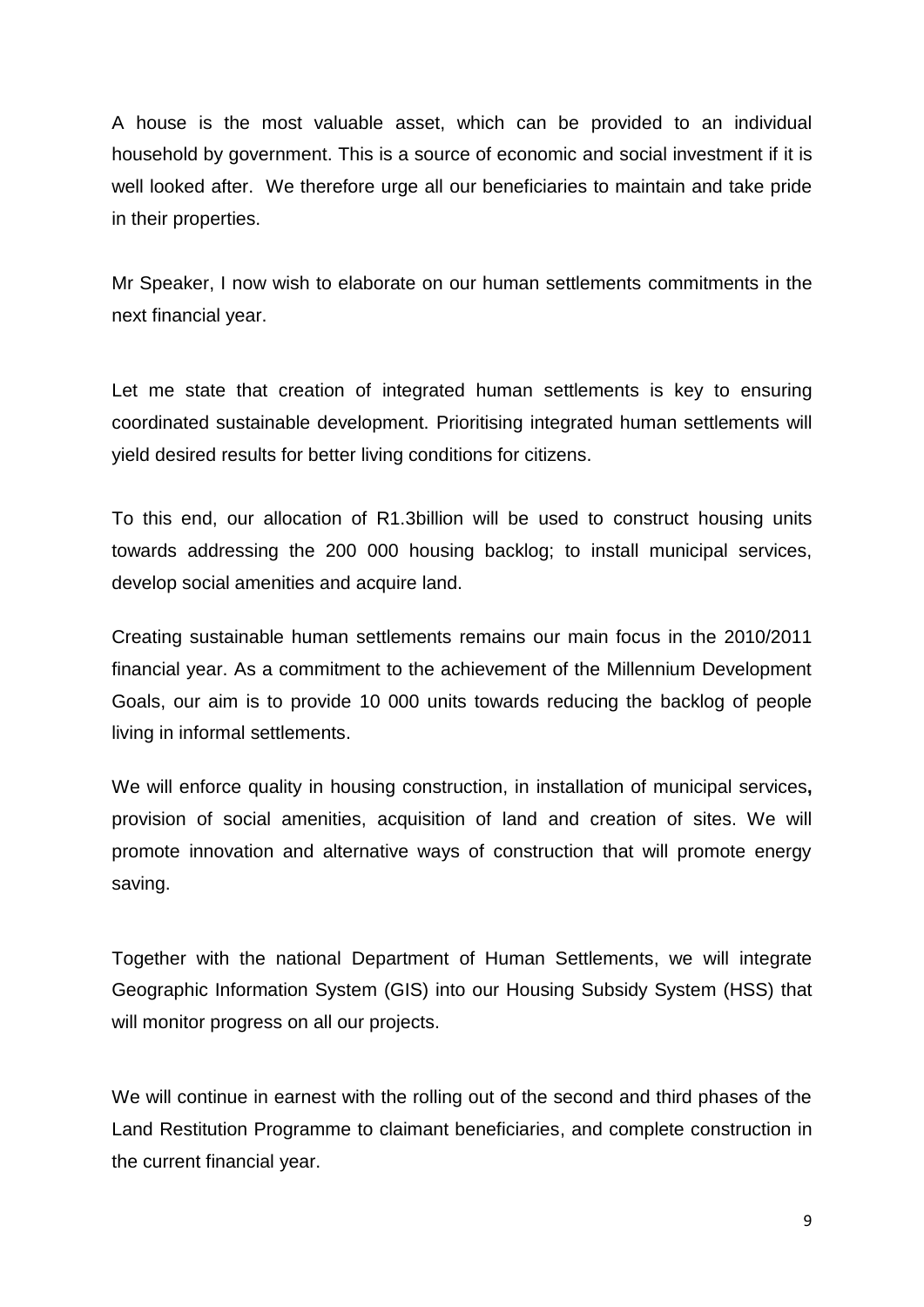A house is the most valuable asset, which can be provided to an individual household by government. This is a source of economic and social investment if it is well looked after. We therefore urge all our beneficiaries to maintain and take pride in their properties.

Mr Speaker, I now wish to elaborate on our human settlements commitments in the next financial year.

Let me state that creation of integrated human settlements is key to ensuring coordinated sustainable development. Prioritising integrated human settlements will yield desired results for better living conditions for citizens.

To this end, our allocation of R1.3billion will be used to construct housing units towards addressing the 200 000 housing backlog; to install municipal services, develop social amenities and acquire land.

Creating sustainable human settlements remains our main focus in the 2010/2011 financial year. As a commitment to the achievement of the Millennium Development Goals, our aim is to provide 10 000 units towards reducing the backlog of people living in informal settlements.

We will enforce quality in housing construction, in installation of municipal services**,** provision of social amenities, acquisition of land and creation of sites. We will promote innovation and alternative ways of construction that will promote energy saving.

Together with the national Department of Human Settlements, we will integrate Geographic Information System (GIS) into our Housing Subsidy System (HSS) that will monitor progress on all our projects.

We will continue in earnest with the rolling out of the second and third phases of the Land Restitution Programme to claimant beneficiaries, and complete construction in the current financial year.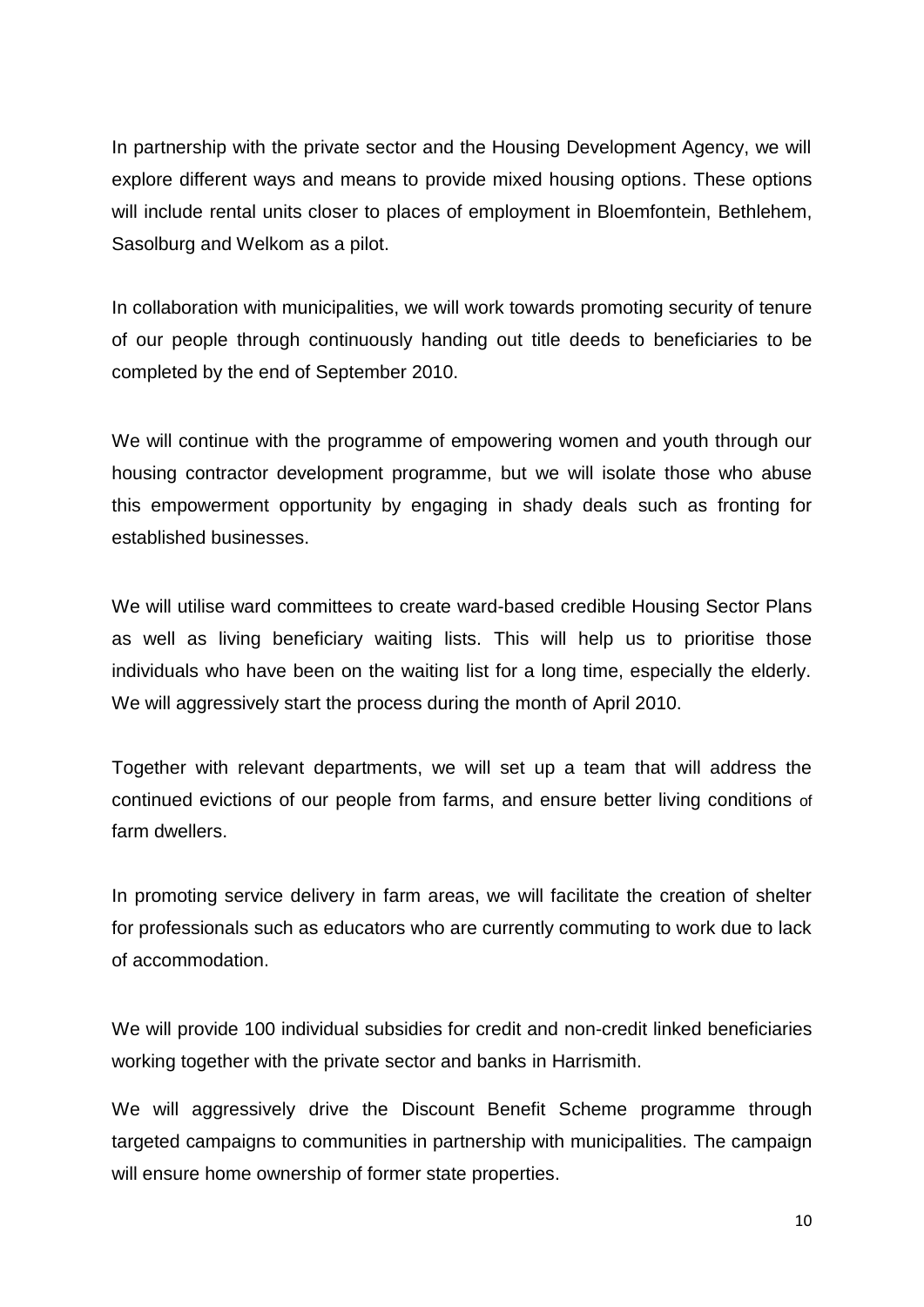In partnership with the private sector and the Housing Development Agency, we will explore different ways and means to provide mixed housing options. These options will include rental units closer to places of employment in Bloemfontein, Bethlehem, Sasolburg and Welkom as a pilot.

In collaboration with municipalities, we will work towards promoting security of tenure of our people through continuously handing out title deeds to beneficiaries to be completed by the end of September 2010.

We will continue with the programme of empowering women and youth through our housing contractor development programme, but we will isolate those who abuse this empowerment opportunity by engaging in shady deals such as fronting for established businesses.

We will utilise ward committees to create ward-based credible Housing Sector Plans as well as living beneficiary waiting lists. This will help us to prioritise those individuals who have been on the waiting list for a long time, especially the elderly. We will aggressively start the process during the month of April 2010.

Together with relevant departments, we will set up a team that will address the continued evictions of our people from farms, and ensure better living conditions of farm dwellers.

In promoting service delivery in farm areas, we will facilitate the creation of shelter for professionals such as educators who are currently commuting to work due to lack of accommodation.

We will provide 100 individual subsidies for credit and non-credit linked beneficiaries working together with the private sector and banks in Harrismith.

We will aggressively drive the Discount Benefit Scheme programme through targeted campaigns to communities in partnership with municipalities. The campaign will ensure home ownership of former state properties.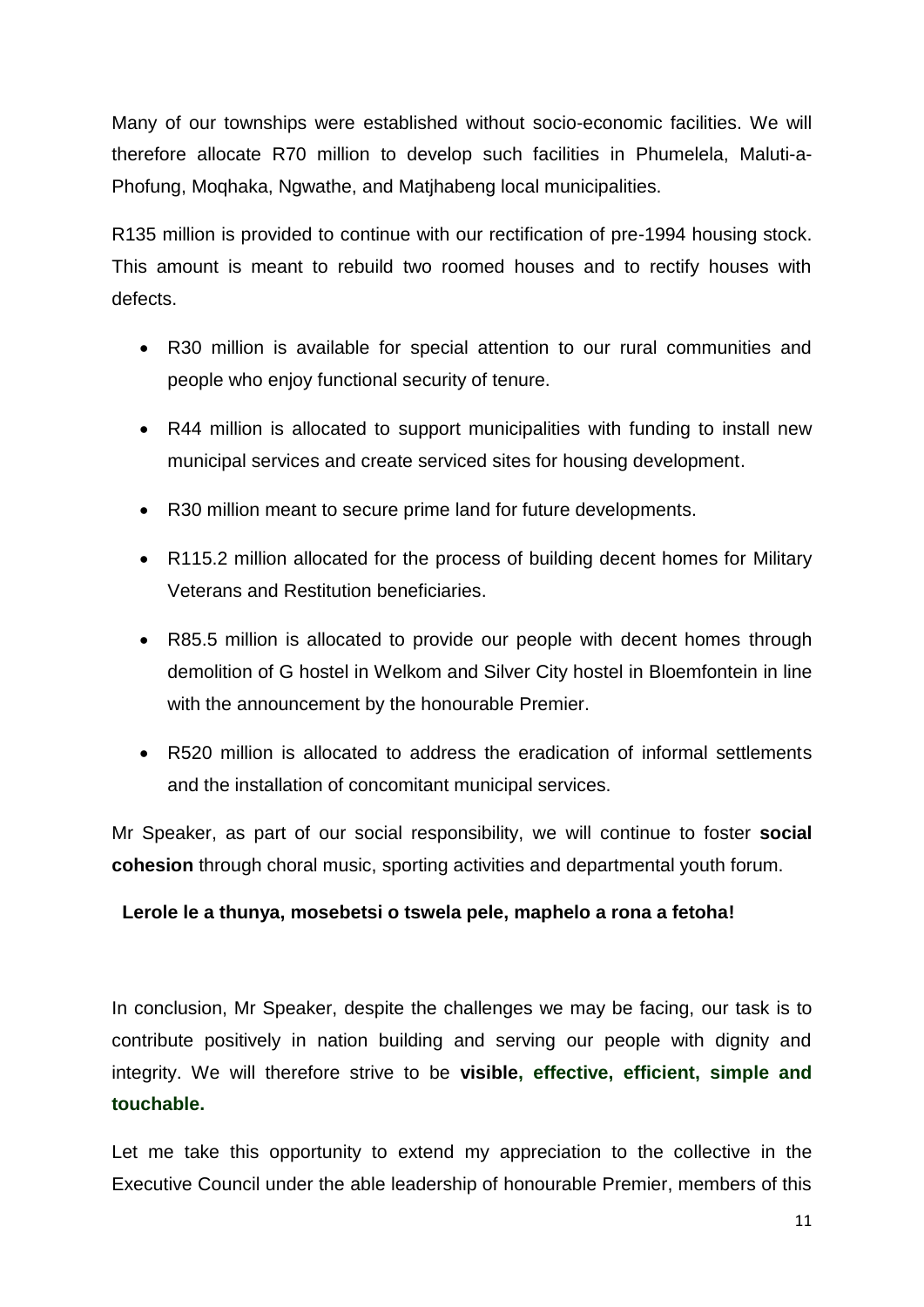Many of our townships were established without socio-economic facilities. We will therefore allocate R70 million to develop such facilities in Phumelela, Maluti-a-Phofung, Moqhaka, Ngwathe, and Matjhabeng local municipalities.

R135 million is provided to continue with our rectification of pre-1994 housing stock. This amount is meant to rebuild two roomed houses and to rectify houses with defects.

- R30 million is available for special attention to our rural communities and people who enjoy functional security of tenure.
- R44 million is allocated to support municipalities with funding to install new municipal services and create serviced sites for housing development.
- R30 million meant to secure prime land for future developments.
- R115.2 million allocated for the process of building decent homes for Military Veterans and Restitution beneficiaries.
- R85.5 million is allocated to provide our people with decent homes through demolition of G hostel in Welkom and Silver City hostel in Bloemfontein in line with the announcement by the honourable Premier.
- R520 million is allocated to address the eradication of informal settlements and the installation of concomitant municipal services.

Mr Speaker, as part of our social responsibility, we will continue to foster **social cohesion** through choral music, sporting activities and departmental youth forum.

## **Lerole le a thunya, mosebetsi o tswela pele, maphelo a rona a fetoha!**

In conclusion, Mr Speaker, despite the challenges we may be facing, our task is to contribute positively in nation building and serving our people with dignity and integrity. We will therefore strive to be **visible, effective, efficient, simple and touchable.** 

Let me take this opportunity to extend my appreciation to the collective in the Executive Council under the able leadership of honourable Premier, members of this